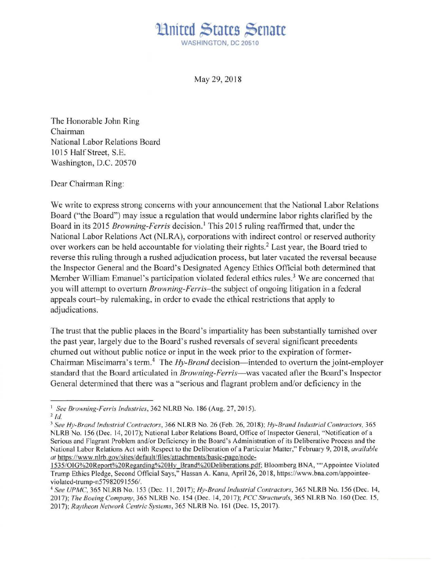## Huited States Senate WASHINGTON, DC 20510

May 29, 2018

The Honorable John Ring Chairman National Labor Relations Board 1015 Half Street, S.E. Washington, D.C. 20570

Dear Chairman Ring:

We write to express strong concerns with your announcement that the National Labor Relations Board ("the Board") may issue a regulation that would undermine labor rights clarified by the Board in its 2015 *Browning-Ferris* decision. 1 This 2015 ruling reaffirmed that, under the National Labor Relations Act (NLRA), corporations with indirect control or reserved authority over workers can be held accountable for violating their rights.<sup>2</sup> Last year, the Board tried to reverse this ruling through a rushed adjudication process, but later vacated the reversal because the Inspector General and the Board's Designated Agency Ethics Official both determined that Member William Emanuel's participation violated federal ethics rules.<sup>3</sup> We are concerned that you will attempt to overturn *Browning-Ferris- the* subject of ongoing litigation in a federal appeals court-by rulemaking, in order to evade the ethical restrictions that apply to adjudications.

The trust that the public places in the Board 's impartiality has been substantially tarnished over the past year, largely due to the Board's rushed reversals of several significant precedents churned out without public notice or input in the week prior to the expiration of former-Chairman Miscimarra's term.<sup>4</sup> The *Hy-Brand* decision—intended to overturn the joint-employer standard that the Board articulated in *Browning-Ferris*—was vacated after the Board's Inspector General determined that there was a "serious and flagrant problem and/or deficiency in the

<sup>1</sup>*See Browning-Ferris Industries,* 362 NLRB No. 186 (Aug. 27, 20 IS).

 $^{2}$  *Id.* 

<sup>3</sup>*See Hy-Brand Industrial Contractors,* 366 NLRB No. 26 (Feb. 26, 2018); *Hy-Brand Industrial Contractors, 365*  NLRB No. 156 (Dec. 14, 2017); National Labor Relations Board, Office of Inspector General, "Notification of a Serious and Flagrant Problem and/or Deficiency in the Board's Administration of its Deliberative Process and the National Labor Relations Act with Respect to the Deliberation of a Particular Matter," February 9, 2018, *available at* https://www.nlrb.gov/sites/default/files/attachments/basic-page/node-

<sup>1535/0</sup>IG%20Report%20Regarding%20Hy Brand%20Deliberations.pdf; Bloomberg BNA, " "Appointee Violated Trump Ethics Pledge, Second Official Says," Hassan A. Kanu, April 26, 2018, https://www.bna.com/appointeeviolated-trump-n5798209 I 556/.

<sup>4</sup>*See UPMC,* 365 NLRB No. 153 (Dec. 11 , 2017); *Hy-Brand Industrial Contractors,* 365 NLRB No. 156 (Dec. 14, 2017); *The Boeing Company,* 365 NLRB No. 154 (Dec. 14, 2017); *PCC Structurals,* 365 NLRB No. 160 (Dec. 15, 2017); *Raytheon Network Centric Systems,* 365 NLRB No. 16 1 (Dec. 15, 2017).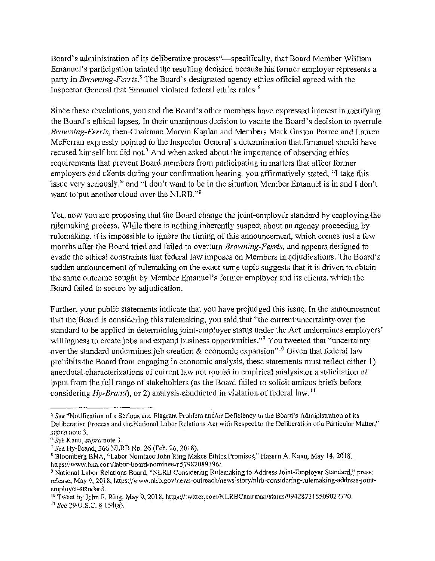Board's administration of its deliberative process"—specifically, that Board Member William Emanuel's participation tainted the resulting decision because his former employer represents a party in *Browning-Ferris*.<sup>5</sup> The Board's designated agency ethics official agreed with the Inspector General that Emanuel violated federal ethics rules.<sup>6</sup>

Since these revelations, you and the Board's other members have expressed interest in rectifying the Board's ethical lapses, In their unanimous decision to vacate the Board's decision to overrule *Browning-Ferris, then-Chairman Marvin Kaplan and Members Mark Gaston Pearce and Lauren* McFerran expressly pointed to the Inspector General's determination that Emanuel should have recused himself but did not.<sup>7</sup> And when asked about the importance of observing ethics requirements that prevent Board members from participating in matters that affect former employers and clients during your confirmation hearing, you affirmatively stated, "I take this issue very seriously," and "I don't want to be in the situation Member Emanuel is in and I don't want to put another cloud over the NLRB." $8$ 

Yet, now you are proposing that the Board change the joint-employer standard by employing the rulemaking process. While there is nothing inherently suspect about an agency proceeding by rulemaking, it is impossible to ignore the timing of this announcement, which comes just a few months after the Board tried and failed to overturn *Browning-Ferris*, and appears designed to evade the ethical constraints that federal law imposes on Members in adjudications. The Board's sudden announcement of rulemaking on the exact same topic suggests that it is driven to obtain the same outcome sought by Member Emanuel's former employer and its clients, which the Board failed to secure by adjudication.

Further, your public statements indicate that you have prejudged this issue. In the announcement that the Board is considering this rulemaking, you said that "the current uncertainty over the standard to be applied in determining joint-employer status under the Act undermines employers' willingness to create jobs and expand business opportunities."<sup>9</sup> You tweeted that "uncertainty over the standard undermines job creation  $\&$  economic expansion"<sup>10</sup> Given that federal law prohibits the Board from engaging in economic analysis, these statements must reflect either 1) anecdotal characterizations of current law not rooted in empirical analysis or a solicitation of input from the full range of stakeholders (as the Board failed to solicit arnicus briefs before considering  $Hy-Rrand$ , or 2) analysis conducted in violation of federal law.<sup>11</sup>

<sup>&</sup>lt;sup>5</sup> See "Notification of a Serious and Flagrant Problem and/or Deficiency in the Board's Administration of its Deliberative Process and the National Labor Relations Act with Respect to the Deliberation of a Particular Matter," *supra* note 3.<br><sup>6</sup> *See Kanu, <i>supra* note 3.<br><sup>7</sup> *See Hy-Brand, 366 NLRB No. 26 (Feb. 26, 2018).* 

<sup>&</sup>lt;sup>8</sup> Bloomberg BNA, "Labor Nominee John Ring Makes Ethics Promises," Hassan A. Kanu, May 14, 2018, https://www.bna.com/labor-board-nominee-n57982089396/.

<sup>&</sup>lt;sup>9</sup> National Labor Relations Board, "NLRB Considering Rulemaking to Address Joint-Employer Standard," press: release, May 9, 2018, https://www.nlrb.gov/news-outreach/news-story/nlrb-considering-rulemaking-address-jointemp!oyer-standard.

<sup>&</sup>lt;sup>10</sup> Tweet by John F. Ring, May 9, 2018, https://twitter.com/NLRBChairman/status/994287315509022720.

<sup>11</sup> *See29* U.S.C. § 154(a).